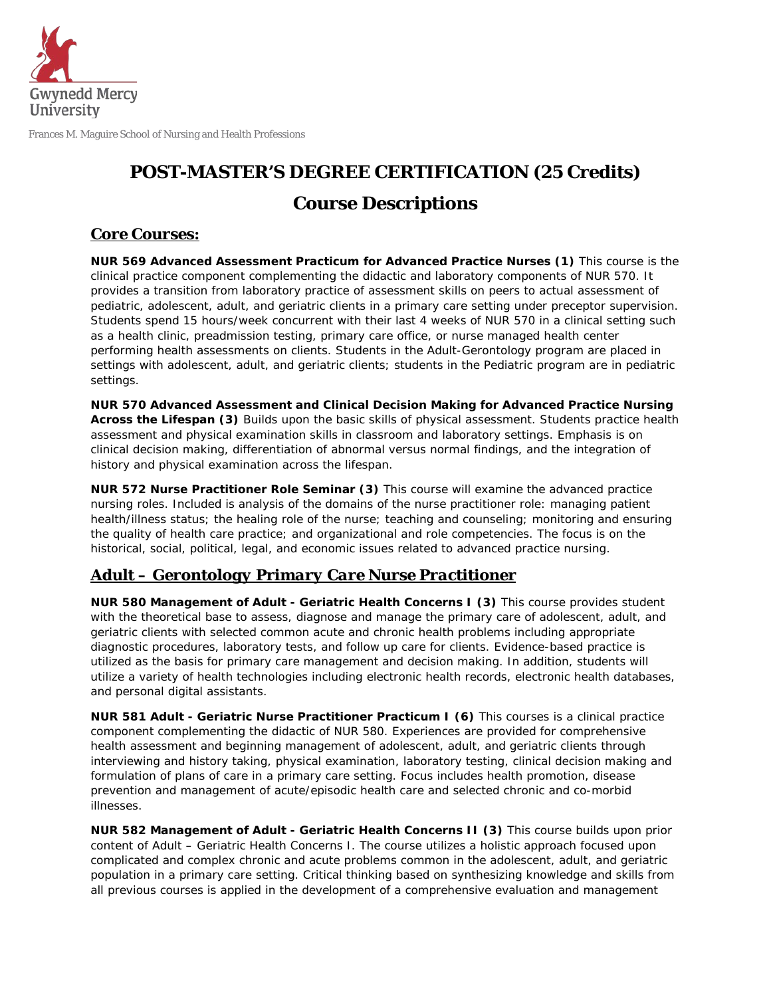

Frances M. Maguire School of Nursing and Health Professions

## **POST-MASTER'S DEGREE CERTIFICATION (25 Credits) Course Descriptions**

## *Core Courses:*

**NUR 569 Advanced Assessment Practicum for Advanced Practice Nurses (1)** This course is the clinical practice component complementing the didactic and laboratory components of NUR 570. It provides a transition from laboratory practice of assessment skills on peers to actual assessment of pediatric, adolescent, adult, and geriatric clients in a primary care setting under preceptor supervision. Students spend 15 hours/week concurrent with their last 4 weeks of NUR 570 in a clinical setting such as a health clinic, preadmission testing, primary care office, or nurse managed health center performing health assessments on clients. Students in the Adult-Gerontology program are placed in settings with adolescent, adult, and geriatric clients; students in the Pediatric program are in pediatric settings.

**NUR 570 Advanced Assessment and Clinical Decision Making for Advanced Practice Nursing Across the Lifespan (3)** Builds upon the basic skills of physical assessment. Students practice health assessment and physical examination skills in classroom and laboratory settings. Emphasis is on clinical decision making, differentiation of abnormal versus normal findings, and the integration of history and physical examination across the lifespan.

**NUR 572 Nurse Practitioner Role Seminar (3)** This course will examine the advanced practice nursing roles. Included is analysis of the domains of the nurse practitioner role: managing patient health/illness status; the healing role of the nurse; teaching and counseling; monitoring and ensuring the quality of health care practice; and organizational and role competencies. The focus is on the historical, social, political, legal, and economic issues related to advanced practice nursing.

## *Adult – Gerontology Primary Care Nurse Practitioner*

**NUR 580 Management of Adult - Geriatric Health Concerns I (3)** This course provides student with the theoretical base to assess, diagnose and manage the primary care of adolescent, adult, and geriatric clients with selected common acute and chronic health problems including appropriate diagnostic procedures, laboratory tests, and follow up care for clients. Evidence-based practice is utilized as the basis for primary care management and decision making. In addition, students will utilize a variety of health technologies including electronic health records, electronic health databases, and personal digital assistants.

**NUR 581 Adult - Geriatric Nurse Practitioner Practicum I (6)** This courses is a clinical practice component complementing the didactic of NUR 580. Experiences are provided for comprehensive health assessment and beginning management of adolescent, adult, and geriatric clients through interviewing and history taking, physical examination, laboratory testing, clinical decision making and formulation of plans of care in a primary care setting. Focus includes health promotion, disease prevention and management of acute/episodic health care and selected chronic and co-morbid illnesses.

**NUR 582 Management of Adult - Geriatric Health Concerns II (3)** This course builds upon prior content of Adult – Geriatric Health Concerns I. The course utilizes a holistic approach focused upon complicated and complex chronic and acute problems common in the adolescent, adult, and geriatric population in a primary care setting. Critical thinking based on synthesizing knowledge and skills from all previous courses is applied in the development of a comprehensive evaluation and management